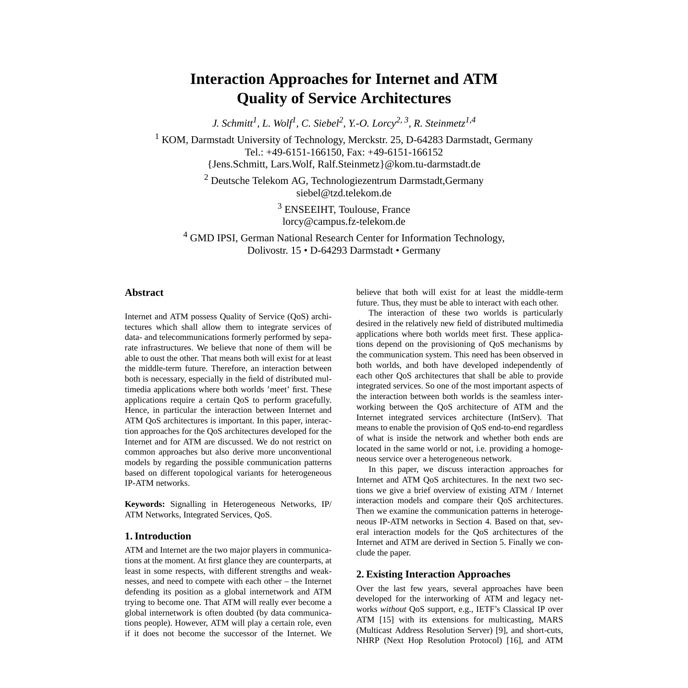# **Interaction Approaches for Internet and ATM Quality of Service Architectures**

*J. Schmitt1, L. Wolf1 , C. Siebel2, Y.-O. Lorcy2, 3, R. Steinmetz1,4*

<sup>1</sup> KOM, Darmstadt University of Technology, Merckstr. 25, D-64283 Darmstadt, Germany Tel.: +49-6151-166150, Fax: +49-6151-166152 {Jens.Schmitt, Lars.Wolf, Ralf.Steinmetz}@kom.tu-darmstadt.de

> 2 Deutsche Telekom AG, Technologiezentrum Darmstadt,Germany siebel@tzd.telekom.de

> > 3 ENSEEIHT, Toulouse, France lorcy@campus.fz-telekom.de

<sup>4</sup> GMD IPSI, German National Research Center for Information Technology, Dolivostr. 15 • D-64293 Darmstadt • Germany

# **Abstract**

Internet and ATM possess Quality of Service (QoS) architectures which shall allow them to integrate services of data- and telecommunications formerly performed by separate infrastructures. We believe that none of them will be able to oust the other. That means both will exist for at least the middle-term future. Therefore, an interaction between both is necessary, especially in the field of distributed multimedia applications where both worlds 'meet' first. These applications require a certain QoS to perform gracefully. Hence, in particular the interaction between Internet and ATM QoS architectures is important. In this paper, interaction approaches for the QoS architectures developed for the Internet and for ATM are discussed. We do not restrict on common approaches but also derive more unconventional models by regarding the possible communication patterns based on different topological variants for heterogeneous IP-ATM networks.

**Keywords:** Signalling in Heterogeneous Networks, IP/ ATM Networks, Integrated Services, QoS.

# **1. Introduction**

ATM and Internet are the two major players in communications at the moment. At first glance they are counterparts, at least in some respects, with different strengths and weaknesses, and need to compete with each other – the Internet defending its position as a global internetwork and ATM trying to become one. That ATM will really ever become a global internetwork is often doubted (by data communications people). However, ATM will play a certain role, even if it does not become the successor of the Internet. We

believe that both will exist for at least the middle-term future. Thus, they must be able to interact with each other.

The interaction of these two worlds is particularly desired in the relatively new field of distributed multimedia applications where both worlds meet first. These applications depend on the provisioning of QoS mechanisms by the communication system. This need has been observed in both worlds, and both have developed independently of each other QoS architectures that shall be able to provide integrated services. So one of the most important aspects of the interaction between both worlds is the seamless interworking between the QoS architecture of ATM and the Internet integrated services architecture (IntServ). That means to enable the provision of QoS end-to-end regardless of what is inside the network and whether both ends are located in the same world or not, i.e. providing a homogeneous service over a heterogeneous network.

In this paper, we discuss interaction approaches for Internet and ATM QoS architectures. In the next two sections we give a brief overview of existing ATM / Internet interaction models and compare their QoS architectures. Then we examine the communication patterns in heterogeneous IP-ATM networks in [Section 4.](#page-3-0) Based on that, several interaction models for the QoS architectures of the Internet and ATM are derived in [Section 5.](#page-4-0) Finally we conclude the paper.

## **2. Existing Interaction Approaches**

Over the last few years, several approaches have been developed for the interworking of ATM and legacy networks *without* QoS support, e.g., IETF's Classical IP over ATM [\[15\]](#page-6-0) with its extensions for multicasting, MARS (Multicast Address Resolution Server) [\[9\],](#page-6-0) and short-cuts, NHRP (Next Hop Resolution Protocol) [\[16\],](#page-6-0) and ATM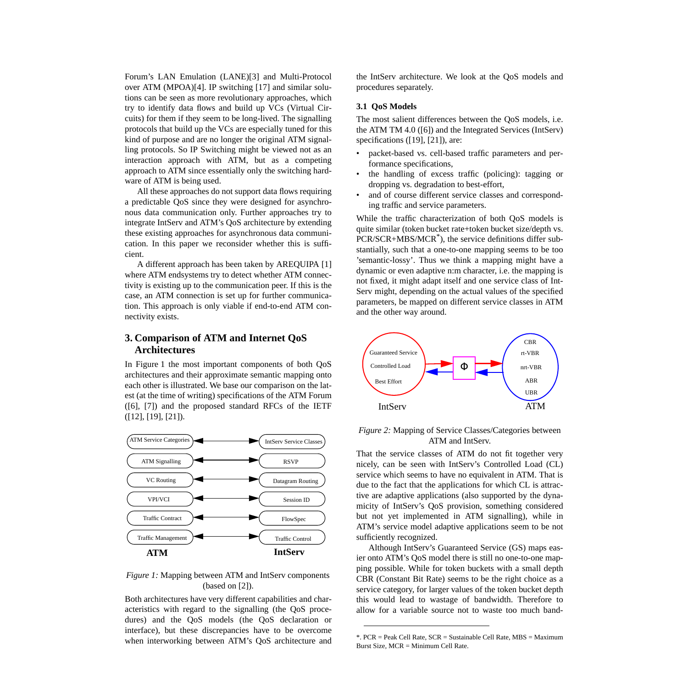Forum's LAN Emulation (LANE)[\[3\]](#page-6-0) and Multi-Protocol over ATM (MPOA)[[4\].](#page-6-0) IP switching [\[17\]](#page-6-0) and similar solutions can be seen as more revolutionary approaches, which try to identify data flows and build up VCs (Virtual Circuits) for them if they seem to be long-lived. The signalling protocols that build up the VCs are especially tuned for this kind of purpose and are no longer the original ATM signalling protocols. So IP Switching might be viewed not as an interaction approach with ATM, but as a competing approach to ATM since essentially only the switching hardware of ATM is being used.

All these approaches do not support data flows requiring a predictable QoS since they were designed for asynchronous data communication only. Further approaches try to integrate IntServ and ATM's QoS architecture by extending these existing approaches for asynchronous data communication. In this paper we reconsider whether this is sufficient.

A different approach has been taken by AREQUIPA [\[1\]](#page-6-0) where ATM endsystems try to detect whether ATM connectivity is existing up to the communication peer. If this is the case, an ATM connection is set up for further communication. This approach is only viable if end-to-end ATM connectivity exists.

# **3. Comparison of ATM and Internet QoS Architectures**

In Figure 1 the most important components of both QoS architectures and their approximate semantic mapping onto each other is illustrated. We base our comparison on the latest (at the time of writing) specifications of the ATM Forum ([\[6\], \[7\]](#page-6-0)) and the proposed standard RFCs of the IETF ([\[12\],](#page-6-0) [\[19\],](#page-6-0) [\[21\]\)](#page-6-0).



*Figure 1:* Mapping between ATM and IntServ components (based on [\[2\]](#page-6-0)).

Both architectures have very different capabilities and characteristics with regard to the signalling (the QoS procedures) and the QoS models (the QoS declaration or interface), but these discrepancies have to be overcome when interworking between ATM's QoS architecture and the IntServ architecture. We look at the QoS models and procedures separately.

#### **3.1 QoS Models**

The most salient differences between the QoS models, i.e. the ATM TM 4.0 ([[6\]\)](#page-6-0) and the Integrated Services (IntServ) specifications ([\[19\],](#page-6-0) [\[21\]\)](#page-6-0), are:

- packet-based vs. cell-based traffic parameters and performance specifications,
- the handling of excess traffic (policing): tagging or dropping vs. degradation to best-effort,
- and of course different service classes and corresponding traffic and service parameters.

While the traffic characterization of both QoS models is quite similar (token bucket rate+token bucket size/depth vs. PCR/SCR+MBS/MCR\*), the service definitions differ substantially, such that a one-to-one mapping seems to be too 'semantic-lossy'. Thus we think a mapping might have a dynamic or even adaptive n:m character, i.e. the mapping is not fixed, it might adapt itself and one service class of Int-Serv might, depending on the actual values of the specified parameters, be mapped on different service classes in ATM and the other way around.



*Figure 2:* Mapping of Service Classes/Categories between ATM and IntServ.

That the service classes of ATM do not fit together very nicely, can be seen with IntServ's Controlled Load (CL) service which seems to have no equivalent in ATM. That is due to the fact that the applications for which CL is attractive are adaptive applications (also supported by the dynamicity of IntServ's QoS provision, something considered but not yet implemented in ATM signalling), while in ATM's service model adaptive applications seem to be not sufficiently recognized.

Although IntServ's Guaranteed Service (GS) maps easier onto ATM's QoS model there is still no one-to-one mapping possible. While for token buckets with a small depth CBR (Constant Bit Rate) seems to be the right choice as a service category, for larger values of the token bucket depth this would lead to wastage of bandwidth. Therefore to allow for a variable source not to waste too much band-

<sup>\*.</sup> PCR = Peak Cell Rate, SCR = Sustainable Cell Rate, MBS = Maximum Burst Size, MCR = Minimum Cell Rate.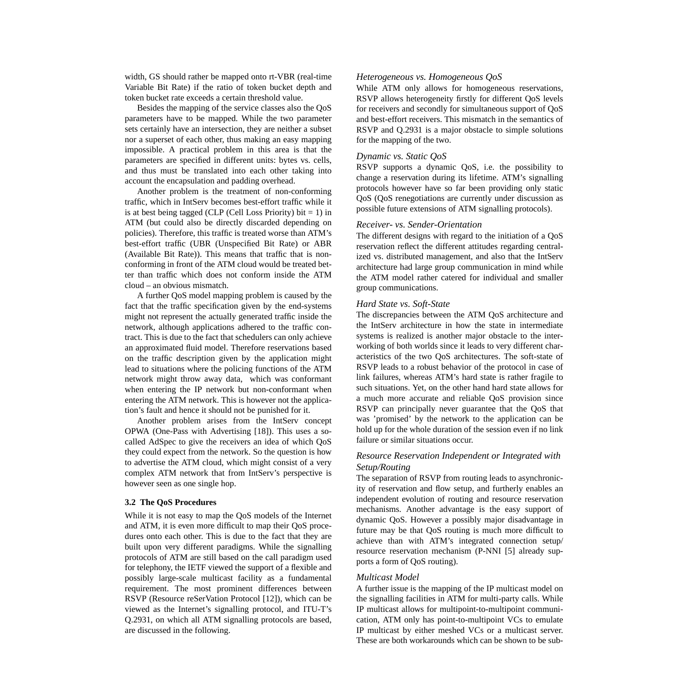width, GS should rather be mapped onto rt-VBR (real-time Variable Bit Rate) if the ratio of token bucket depth and token bucket rate exceeds a certain threshold value.

Besides the mapping of the service classes also the QoS parameters have to be mapped. While the two parameter sets certainly have an intersection, they are neither a subset nor a superset of each other, thus making an easy mapping impossible. A practical problem in this area is that the parameters are specified in different units: bytes vs. cells, and thus must be translated into each other taking into account the encapsulation and padding overhead.

Another problem is the treatment of non-conforming traffic, which in IntServ becomes best-effort traffic while it is at best being tagged (CLP (Cell Loss Priority) bit  $= 1$ ) in ATM (but could also be directly discarded depending on policies). Therefore, this traffic is treated worse than ATM's best-effort traffic (UBR (Unspecified Bit Rate) or ABR (Available Bit Rate)). This means that traffic that is nonconforming in front of the ATM cloud would be treated better than traffic which does not conform inside the ATM cloud – an obvious mismatch.

A further QoS model mapping problem is caused by the fact that the traffic specification given by the end-systems might not represent the actually generated traffic inside the network, although applications adhered to the traffic contract. This is due to the fact that schedulers can only achieve an approximated fluid model. Therefore reservations based on the traffic description given by the application might lead to situations where the policing functions of the ATM network might throw away data, which was conformant when entering the IP network but non-conformant when entering the ATM network. This is however not the application's fault and hence it should not be punished for it.

Another problem arises from the IntServ concept OPWA (One-Pass with Advertising [[18\]\).](#page-6-0) This uses a socalled AdSpec to give the receivers an idea of which QoS they could expect from the network. So the question is how to advertise the ATM cloud, which might consist of a very complex ATM network that from IntServ's perspective is however seen as one single hop.

### **3.2 The QoS Procedures**

While it is not easy to map the QoS models of the Internet and ATM, it is even more difficult to map their QoS procedures onto each other. This is due to the fact that they are built upon very different paradigms. While the signalling protocols of ATM are still based on the call paradigm used for telephony, the IETF viewed the support of a flexible and possibly large-scale multicast facility as a fundamental requirement. The most prominent differences between RSVP (Resource reSerVation Protocol [[12\]\)](#page-6-0), which can be viewed as the Internet's signalling protocol, and ITU-T's Q.2931, on which all ATM signalling protocols are based, are discussed in the following.

#### *Heterogeneous vs. Homogeneous QoS*

While ATM only allows for homogeneous reservations, RSVP allows heterogeneity firstly for different QoS levels for receivers and secondly for simultaneous support of QoS and best-effort receivers. This mismatch in the semantics of RSVP and Q.2931 is a major obstacle to simple solutions for the mapping of the two.

#### *Dynamic vs. Static QoS*

RSVP supports a dynamic QoS, i.e. the possibility to change a reservation during its lifetime. ATM's signalling protocols however have so far been providing only static QoS (QoS renegotiations are currently under discussion as possible future extensions of ATM signalling protocols).

## *Receiver- vs. Sender-Orientation*

The different designs with regard to the initiation of a QoS reservation reflect the different attitudes regarding centralized vs. distributed management, and also that the IntServ architecture had large group communication in mind while the ATM model rather catered for individual and smaller group communications.

#### *Hard State vs. Soft-State*

The discrepancies between the ATM QoS architecture and the IntServ architecture in how the state in intermediate systems is realized is another major obstacle to the interworking of both worlds since it leads to very different characteristics of the two QoS architectures. The soft-state of RSVP leads to a robust behavior of the protocol in case of link failures, whereas ATM's hard state is rather fragile to such situations. Yet, on the other hand hard state allows for a much more accurate and reliable QoS provision since RSVP can principally never guarantee that the QoS that was 'promised' by the network to the application can be hold up for the whole duration of the session even if no link failure or similar situations occur.

## *Resource Reservation Independent or Integrated with Setup/Routing*

The separation of RSVP from routing leads to asynchronicity of reservation and flow setup, and furtherly enables an independent evolution of routing and resource reservation mechanisms. Another advantage is the easy support of dynamic QoS. However a possibly major disadvantage in future may be that QoS routing is much more difficult to achieve than with ATM's integrated connection setup/ resource reservation mechanism (P-NNI [\[5\]](#page-6-0) already supports a form of QoS routing).

#### *Multicast Model*

A further issue is the mapping of the IP multicast model on the signalling facilities in ATM for multi-party calls. While IP multicast allows for multipoint-to-multipoint communication, ATM only has point-to-multipoint VCs to emulate IP multicast by either meshed VCs or a multicast server. These are both workarounds which can be shown to be sub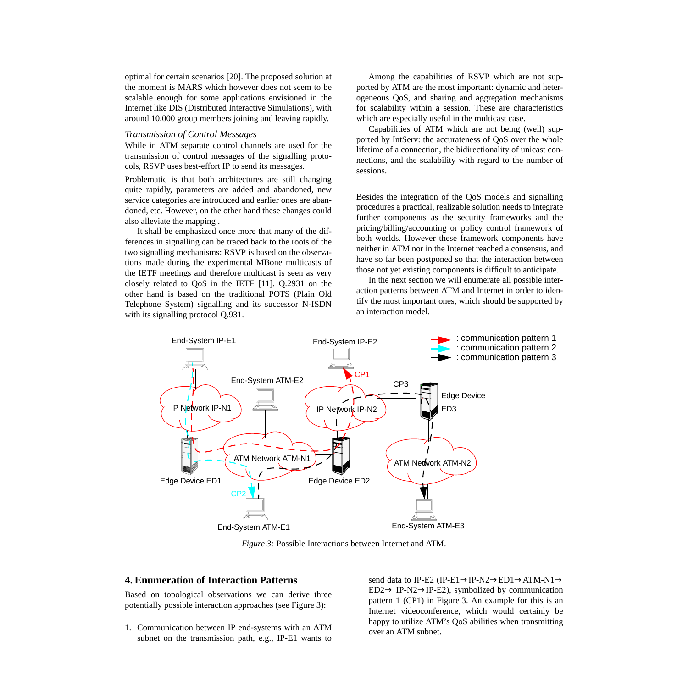<span id="page-3-0"></span>optimal for certain scenarios [\[20\].](#page-6-0) The proposed solution at the moment is MARS which however does not seem to be scalable enough for some applications envisioned in the Internet like DIS (Distributed Interactive Simulations), with around 10,000 group members joining and leaving rapidly.

#### *Transmission of Control Messages*

While in ATM separate control channels are used for the transmission of control messages of the signalling protocols, RSVP uses best-effort IP to send its messages.

Problematic is that both architectures are still changing quite rapidly, parameters are added and abandoned, new service categories are introduced and earlier ones are abandoned, etc. However, on the other hand these changes could also alleviate the mapping .

It shall be emphasized once more that many of the differences in signalling can be traced back to the roots of the two signalling mechanisms: RSVP is based on the observations made during the experimental MBone multicasts of the IETF meetings and therefore multicast is seen as very closely related to QoS in the IETF [\[11\].](#page-6-0) Q.2931 on the other hand is based on the traditional POTS (Plain Old Telephone System) signalling and its successor N-ISDN with its signalling protocol Q.931.

Among the capabilities of RSVP which are not supported by ATM are the most important: dynamic and heterogeneous QoS, and sharing and aggregation mechanisms for scalability within a session. These are characteristics which are especially useful in the multicast case.

Capabilities of ATM which are not being (well) supported by IntServ: the accurateness of QoS over the whole lifetime of a connection, the bidirectionality of unicast connections, and the scalability with regard to the number of sessions.

Besides the integration of the QoS models and signalling procedures a practical, realizable solution needs to integrate further components as the security frameworks and the pricing/billing/accounting or policy control framework of both worlds. However these framework components have neither in ATM nor in the Internet reached a consensus, and have so far been postponed so that the interaction between those not yet existing components is difficult to anticipate.

In the next section we will enumerate all possible interaction patterns between ATM and Internet in order to identify the most important ones, which should be supported by an interaction model.



*Figure 3:* Possible Interactions between Internet and ATM.

# **4. Enumeration of Interaction Patterns**

Based on topological observations we can derive three potentially possible interaction approaches (see Figure 3):

1. Communication between IP end-systems with an ATM subnet on the transmission path, e.g., IP-E1 wants to send data to IP-E2 (IP-E1→IP-N2→ED1→ATM-N1→ ED2→ IP-N2→IP-E2), symbolized by communication pattern 1 (CP1) in Figure 3. An example for this is an Internet videoconference, which would certainly be happy to utilize ATM's QoS abilities when transmitting over an ATM subnet.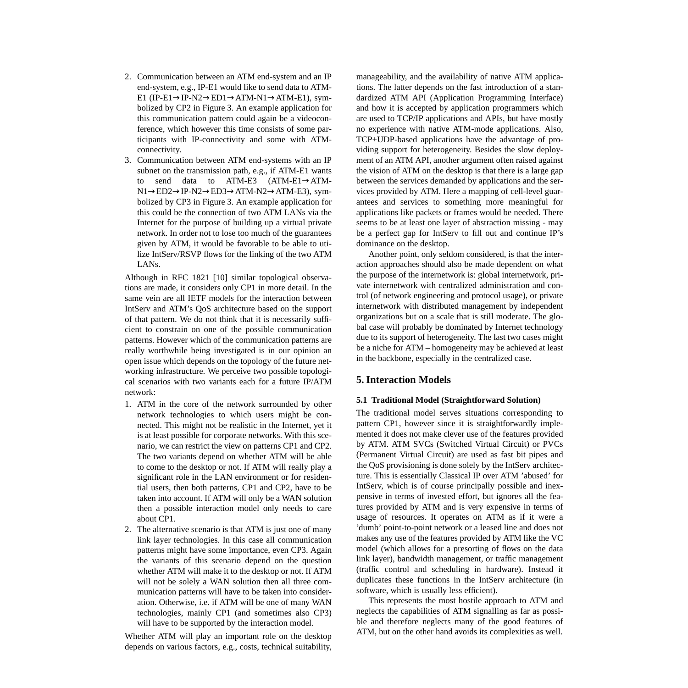- <span id="page-4-0"></span>2. Communication between an ATM end-system and an IP end-system, e.g., IP-E1 would like to send data to ATM-E1 (IP-E1→IP-N2→ED1→ATM-N1→ATM-E1), symbolized by CP2 in [Figure 3.](#page-3-0) An example application for this communication pattern could again be a videoconference, which however this time consists of some participants with IP-connectivity and some with ATMconnectivity.
- 3. Communication between ATM end-systems with an IP subnet on the transmission path, e.g., if ATM-E1 wants to send data to ATM-E3 (ATM-E1→ATM-N1→ED2→IP-N2→ED3→ATM-N2→ATM-E3), symbolized by CP3 in [Figure 3.](#page-3-0) An example application for this could be the connection of two ATM LANs via the Internet for the purpose of building up a virtual private network. In order not to lose too much of the guarantees given by ATM, it would be favorable to be able to utilize IntServ/RSVP flows for the linking of the two ATM LANs.

Although in RFC 1821 [\[10\]](#page-6-0) similar topological observations are made, it considers only CP1 in more detail. In the same vein are all IETF models for the interaction between IntServ and ATM's QoS architecture based on the support of that pattern. We do not think that it is necessarily sufficient to constrain on one of the possible communication patterns. However which of the communication patterns are really worthwhile being investigated is in our opinion an open issue which depends on the topology of the future networking infrastructure. We perceive two possible topological scenarios with two variants each for a future IP/ATM network:

- 1. ATM in the core of the network surrounded by other network technologies to which users might be connected. This might not be realistic in the Internet, yet it is at least possible for corporate networks. With this scenario, we can restrict the view on patterns CP1 and CP2. The two variants depend on whether ATM will be able to come to the desktop or not. If ATM will really play a significant role in the LAN environment or for residential users, then both patterns, CP1 and CP2, have to be taken into account. If ATM will only be a WAN solution then a possible interaction model only needs to care about CP1.
- 2. The alternative scenario is that ATM is just one of many link layer technologies. In this case all communication patterns might have some importance, even CP3. Again the variants of this scenario depend on the question whether ATM will make it to the desktop or not. If ATM will not be solely a WAN solution then all three communication patterns will have to be taken into consideration. Otherwise, i.e. if ATM will be one of many WAN technologies, mainly CP1 (and sometimes also CP3) will have to be supported by the interaction model.

Whether ATM will play an important role on the desktop depends on various factors, e.g., costs, technical suitability, manageability, and the availability of native ATM applications. The latter depends on the fast introduction of a standardized ATM API (Application Programming Interface) and how it is accepted by application programmers which are used to TCP/IP applications and APIs, but have mostly no experience with native ATM-mode applications. Also, TCP+UDP-based applications have the advantage of providing support for heterogeneity. Besides the slow deployment of an ATM API, another argument often raised against the vision of ATM on the desktop is that there is a large gap between the services demanded by applications and the services provided by ATM. Here a mapping of cell-level guarantees and services to something more meaningful for applications like packets or frames would be needed. There seems to be at least one layer of abstraction missing - may be a perfect gap for IntServ to fill out and continue IP's dominance on the desktop.

Another point, only seldom considered, is that the interaction approaches should also be made dependent on what the purpose of the internetwork is: global internetwork, private internetwork with centralized administration and control (of network engineering and protocol usage), or private internetwork with distributed management by independent organizations but on a scale that is still moderate. The global case will probably be dominated by Internet technology due to its support of heterogeneity. The last two cases might be a niche for ATM – homogeneity may be achieved at least in the backbone, especially in the centralized case.

# **5. Interaction Models**

#### **5.1 Traditional Model (Straightforward Solution)**

The traditional model serves situations corresponding to pattern CP1, however since it is straightforwardly implemented it does not make clever use of the features provided by ATM. ATM SVCs (Switched Virtual Circuit) or PVCs (Permanent Virtual Circuit) are used as fast bit pipes and the QoS provisioning is done solely by the IntServ architecture. This is essentially Classical IP over ATM 'abused' for IntServ, which is of course principally possible and inexpensive in terms of invested effort, but ignores all the features provided by ATM and is very expensive in terms of usage of resources. It operates on ATM as if it were a 'dumb' point-to-point network or a leased line and does not makes any use of the features provided by ATM like the VC model (which allows for a presorting of flows on the data link layer), bandwidth management, or traffic management (traffic control and scheduling in hardware). Instead it duplicates these functions in the IntServ architecture (in software, which is usually less efficient).

This represents the most hostile approach to ATM and neglects the capabilities of ATM signalling as far as possible and therefore neglects many of the good features of ATM, but on the other hand avoids its complexities as well.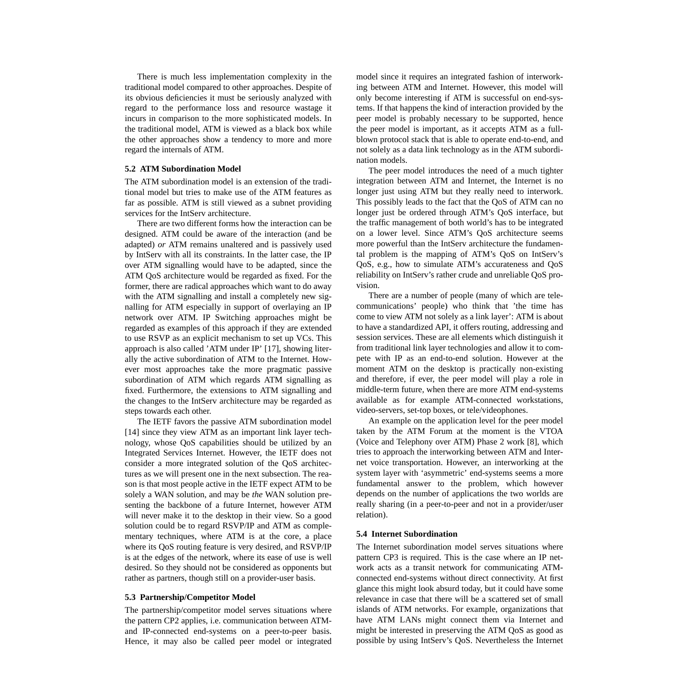There is much less implementation complexity in the traditional model compared to other approaches. Despite of its obvious deficiencies it must be seriously analyzed with regard to the performance loss and resource wastage it incurs in comparison to the more sophisticated models. In the traditional model, ATM is viewed as a black box while the other approaches show a tendency to more and more regard the internals of ATM.

#### **5.2 ATM Subordination Model**

The ATM subordination model is an extension of the traditional model but tries to make use of the ATM features as far as possible. ATM is still viewed as a subnet providing services for the IntServ architecture.

There are two different forms how the interaction can be designed. ATM could be aware of the interaction (and be adapted) *or* ATM remains unaltered and is passively used by IntServ with all its constraints. In the latter case, the IP over ATM signalling would have to be adapted, since the ATM QoS architecture would be regarded as fixed. For the former, there are radical approaches which want to do away with the ATM signalling and install a completely new signalling for ATM especially in support of overlaying an IP network over ATM. IP Switching approaches might be regarded as examples of this approach if they are extended to use RSVP as an explicit mechanism to set up VCs. This approach is also called 'ATM under IP' [\[17\]](#page-6-0), showing literally the active subordination of ATM to the Internet. However most approaches take the more pragmatic passive subordination of ATM which regards ATM signalling as fixed. Furthermore, the extensions to ATM signalling and the changes to the IntServ architecture may be regarded as steps towards each other.

The IETF favors the passive ATM subordination model [\[14\]](#page-6-0) since they view ATM as an important link layer technology, whose QoS capabilities should be utilized by an Integrated Services Internet. However, the IETF does not consider a more integrated solution of the QoS architectures as we will present one in the next subsection. The reason is that most people active in the IETF expect ATM to be solely a WAN solution, and may be *the* WAN solution presenting the backbone of a future Internet, however ATM will never make it to the desktop in their view. So a good solution could be to regard RSVP/IP and ATM as complementary techniques, where ATM is at the core, a place where its QoS routing feature is very desired, and RSVP/IP is at the edges of the network, where its ease of use is well desired. So they should not be considered as opponents but rather as partners, though still on a provider-user basis.

### **5.3 Partnership/Competitor Model**

The partnership/competitor model serves situations where the pattern CP2 applies, i.e. communication between ATMand IP-connected end-systems on a peer-to-peer basis. Hence, it may also be called peer model or integrated model since it requires an integrated fashion of interworking between ATM and Internet. However, this model will only become interesting if ATM is successful on end-systems. If that happens the kind of interaction provided by the peer model is probably necessary to be supported, hence the peer model is important, as it accepts ATM as a fullblown protocol stack that is able to operate end-to-end, and not solely as a data link technology as in the ATM subordination models.

The peer model introduces the need of a much tighter integration between ATM and Internet, the Internet is no longer just using ATM but they really need to interwork. This possibly leads to the fact that the QoS of ATM can no longer just be ordered through ATM's QoS interface, but the traffic management of both world's has to be integrated on a lower level. Since ATM's QoS architecture seems more powerful than the IntServ architecture the fundamental problem is the mapping of ATM's QoS on IntServ's QoS, e.g., how to simulate ATM's accurateness and QoS reliability on IntServ's rather crude and unreliable QoS provision.

There are a number of people (many of which are telecommunications' people) who think that 'the time has come to view ATM not solely as a link layer': ATM is about to have a standardized API, it offers routing, addressing and session services. These are all elements which distinguish it from traditional link layer technologies and allow it to compete with IP as an end-to-end solution. However at the moment ATM on the desktop is practically non-existing and therefore, if ever, the peer model will play a role in middle-term future, when there are more ATM end-systems available as for example ATM-connected workstations, video-servers, set-top boxes, or tele/videophones.

An example on the application level for the peer model taken by the ATM Forum at the moment is the VTOA (Voice and Telephony over ATM) Phase 2 work [\[8\],](#page-6-0) which tries to approach the interworking between ATM and Internet voice transportation. However, an interworking at the system layer with 'asymmetric' end-systems seems a more fundamental answer to the problem, which however depends on the number of applications the two worlds are really sharing (in a peer-to-peer and not in a provider/user relation).

#### **5.4 Internet Subordination**

The Internet subordination model serves situations where pattern CP3 is required. This is the case where an IP network acts as a transit network for communicating ATMconnected end-systems without direct connectivity. At first glance this might look absurd today, but it could have some relevance in case that there will be a scattered set of small islands of ATM networks. For example, organizations that have ATM LANs might connect them via Internet and might be interested in preserving the ATM QoS as good as possible by using IntServ's QoS. Nevertheless the Internet